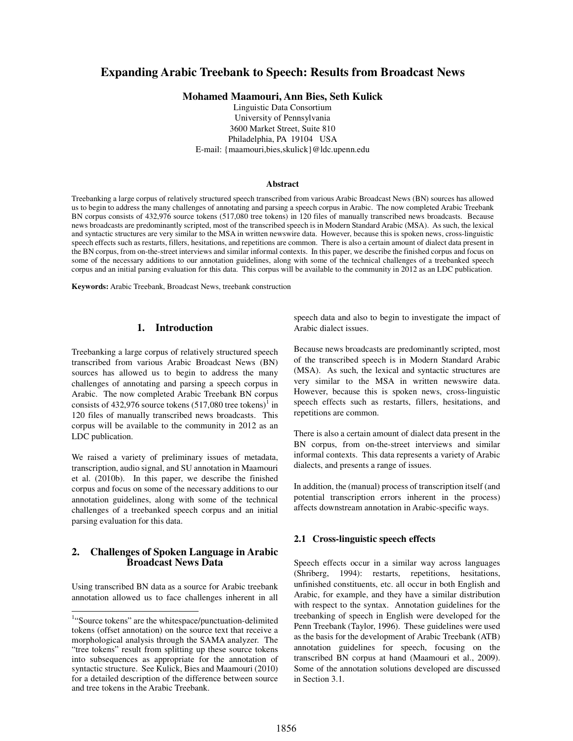# **Expanding Arabic Treebank to Speech: Results from Broadcast News**

**Mohamed Maamouri, Ann Bies, Seth Kulick** 

Linguistic Data Consortium University of Pennsylvania 3600 Market Street, Suite 810 Philadelphia, PA 19104 USA E-mail: {maamouri,bies,skulick}@ldc.upenn.edu

#### **Abstract**

Treebanking a large corpus of relatively structured speech transcribed from various Arabic Broadcast News (BN) sources has allowed us to begin to address the many challenges of annotating and parsing a speech corpus in Arabic. The now completed Arabic Treebank BN corpus consists of 432,976 source tokens (517,080 tree tokens) in 120 files of manually transcribed news broadcasts. Because news broadcasts are predominantly scripted, most of the transcribed speech is in Modern Standard Arabic (MSA). As such, the lexical and syntactic structures are very similar to the MSA in written newswire data. However, because this is spoken news, cross-linguistic speech effects such as restarts, fillers, hesitations, and repetitions are common. There is also a certain amount of dialect data present in the BN corpus, from on-the-street interviews and similar informal contexts. In this paper, we describe the finished corpus and focus on some of the necessary additions to our annotation guidelines, along with some of the technical challenges of a treebanked speech corpus and an initial parsing evaluation for this data. This corpus will be available to the community in 2012 as an LDC publication.

**Keywords:** Arabic Treebank, Broadcast News, treebank construction

#### **1. Introduction**

Treebanking a large corpus of relatively structured speech transcribed from various Arabic Broadcast News (BN) sources has allowed us to begin to address the many challenges of annotating and parsing a speech corpus in Arabic. The now completed Arabic Treebank BN corpus consists of 432,976 source tokens  $(517,080$  tree tokens)<sup>1</sup> in 120 files of manually transcribed news broadcasts. This corpus will be available to the community in 2012 as an LDC publication.

We raised a variety of preliminary issues of metadata, transcription, audio signal, and SU annotation in Maamouri et al. (2010b). In this paper, we describe the finished corpus and focus on some of the necessary additions to our annotation guidelines, along with some of the technical challenges of a treebanked speech corpus and an initial parsing evaluation for this data.

## **2. Challenges of Spoken Language in Arabic Broadcast News Data**

Using transcribed BN data as a source for Arabic treebank annotation allowed us to face challenges inherent in all

 $\overline{\phantom{a}}$ 

speech data and also to begin to investigate the impact of Arabic dialect issues.

Because news broadcasts are predominantly scripted, most of the transcribed speech is in Modern Standard Arabic (MSA). As such, the lexical and syntactic structures are very similar to the MSA in written newswire data. However, because this is spoken news, cross-linguistic speech effects such as restarts, fillers, hesitations, and repetitions are common.

There is also a certain amount of dialect data present in the BN corpus, from on-the-street interviews and similar informal contexts. This data represents a variety of Arabic dialects, and presents a range of issues.

In addition, the (manual) process of transcription itself (and potential transcription errors inherent in the process) affects downstream annotation in Arabic-specific ways.

#### **2.1 Cross-linguistic speech effects**

Speech effects occur in a similar way across languages (Shriberg, 1994): restarts, repetitions, hesitations, unfinished constituents, etc. all occur in both English and Arabic, for example, and they have a similar distribution with respect to the syntax. Annotation guidelines for the treebanking of speech in English were developed for the Penn Treebank (Taylor, 1996). These guidelines were used as the basis for the development of Arabic Treebank (ATB) annotation guidelines for speech, focusing on the transcribed BN corpus at hand (Maamouri et al., 2009). Some of the annotation solutions developed are discussed in Section 3.1.

<sup>&</sup>lt;sup>1</sup>"Source tokens" are the whitespace/punctuation-delimited tokens (offset annotation) on the source text that receive a morphological analysis through the SAMA analyzer. The "tree tokens" result from splitting up these source tokens into subsequences as appropriate for the annotation of syntactic structure. See Kulick, Bies and Maamouri (2010) for a detailed description of the difference between source and tree tokens in the Arabic Treebank.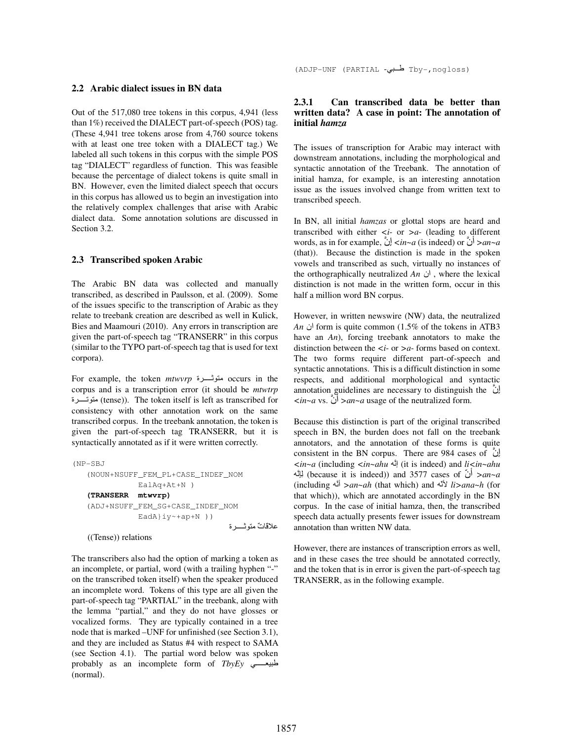#### **2.2 Arabic dialect issues in BN data**

Out of the 517,080 tree tokens in this corpus, 4,941 (less than 1%) received the DIALECT part-of-speech (POS) tag. (These 4,941 tree tokens arose from 4,760 source tokens with at least one tree token with a DIALECT tag.) We labeled all such tokens in this corpus with the simple POS tag "DIALECT" regardless of function. This was feasible because the percentage of dialect tokens is quite small in BN. However, even the limited dialect speech that occurs in this corpus has allowed us to begin an investigation into the relatively complex challenges that arise with Arabic dialect data. Some annotation solutions are discussed in Section 3.2.

#### **2.3 Transcribed spoken Arabic**

The Arabic BN data was collected and manually transcribed, as described in Paulsson, et al. (2009). Some of the issues specific to the transcription of Arabic as they relate to treebank creation are described as well in Kulick, Bies and Maamouri (2010). Any errors in transcription are given the part-of-speech tag "TRANSERR" in this corpus (similar to the TYPO part-of-speech tag that is used for text corpora).

For example, the token *mtwvrp* ة- occurs in the corpus and is a transcription error (it should be *mtwtrp* ة-) tense)). The token itself is left as transcribed for consistency with other annotation work on the same transcribed corpus. In the treebank annotation, the token is given the part-of-speech tag TRANSERR, but it is syntactically annotated as if it were written correctly.

```
(NP-SBJ 
    (NOUN+NSUFF_FEM_PL+CASE_INDEF_NOM 
                 EalAq+At+N ) 
    (TRANSERR mtwvrp) 
    (ADJ+NSUFF_FEM_SG+CASE_INDEF_NOM 
                 EadA}iy~+ap+N )) 
                                         علاقاتٌ متوثـــــــرة
    ((Tense)) relations
```
The transcribers also had the option of marking a token as an incomplete, or partial, word (with a trailing hyphen "-" on the transcribed token itself) when the speaker produced an incomplete word. Tokens of this type are all given the part-of-speech tag "PARTIAL" in the treebank, along with the lemma "partial," and they do not have glosses or vocalized forms. They are typically contained in a tree node that is marked –UNF for unfinished (see Section 3.1), and they are included as Status #4 with respect to SAMA (see Section 4.1). The partial word below was spoken probably as an incomplete form of *TbyEy* (normal).

### **2.3.1 Can transcribed data be better than written data? A case in point: The annotation of initial** *hamza*

The issues of transcription for Arabic may interact with downstream annotations, including the morphological and syntactic annotation of the Treebank. The annotation of initial hamza, for example, is an interesting annotation issue as the issues involved change from written text to transcribed speech.

In BN, all initial *hamzas* or glottal stops are heard and transcribed with either *<i*- or *>a*- (leading to different words, as in for example, نِإ*> in~a* (is indeed) or أن*< an~a* (that)). Because the distinction is made in the spoken vowels and transcribed as such, virtually no instances of the orthographically neutralized *An* ان , where the lexical distinction is not made in the written form, occur in this half a million word BN corpus.

However, in written newswire (NW) data, the neutralized *An* ان form is quite common (1.5% of the tokens in ATB3 have an *An*), forcing treebank annotators to make the distinction between the *<i*- or *>a*- forms based on context. The two forms require different part-of-speech and syntactic annotations. This is a difficult distinction in some respects, and additional morphological and syntactic annotation guidelines are necessary to distinguish the نِإ *<in~a* vs. أن*< an~a* usage of the neutralized form.

Because this distinction is part of the original transcribed speech in BN, the burden does not fall on the treebank annotators, and the annotation of these forms is quite consistent in the BN corpus. There are 984 cases of نِإ *<in~a* (including *<in~ahu* إ) it is indeed) and *li<in~ahu* ِِ (because it is indeed)) and 3577 cases of ّأن*< an~a* (including أ*< an~ah* (that which) and َّ *li>ana~h* (for that which)), which are annotated accordingly in the BN corpus. In the case of initial hamza, then, the transcribed speech data actually presents fewer issues for downstream annotation than written NW data.

However, there are instances of transcription errors as well, and in these cases the tree should be annotated correctly, and the token that is in error is given the part-of-speech tag TRANSERR, as in the following example.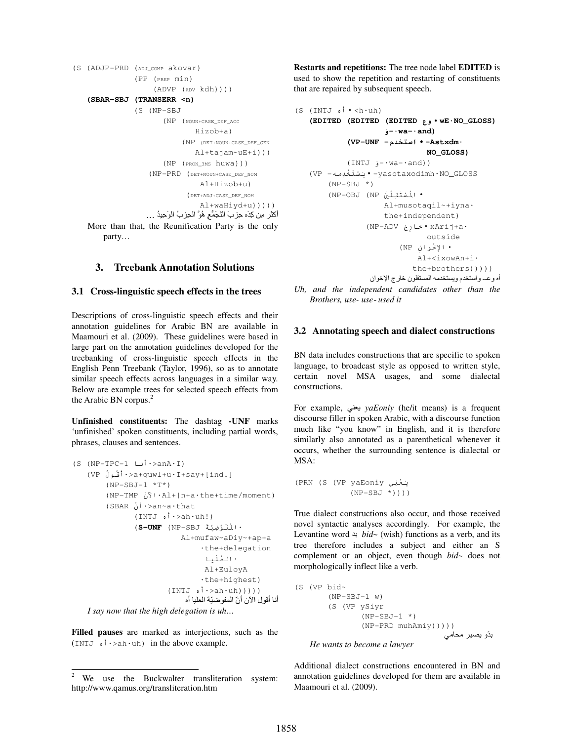```
(S (ADJP-PRD (ADJ_COMP akovar) 
                   (PP (PREP min) 
                        (ADVP (ADV kdh)))) 
     (SBAR-SBJ (TRANSERR <n) 
                  (S (NP-SBJ 
                           (NP (NOUN+CASE_DEF_ACC 
                                    Hizob+a) 
                                (NP (DET+NOUN+CASE_DEF_GEN 
                                    Al+tajam~uE+i))) 
                           (NP (PRON_3MS huwa))) 
                       (NP-PRD (DET+NOUN+CASE_DEF_NOM 
                                      Al+Hizob+u) 
                                  (DET+ADJ+CASE_DEF_NOM 
                                      Al+waHiyd+u))))) 
                     أَكْثَرِ مِن كِدَه حِزِ بَ النَّجَمُّعِ هُوَّ الْحِزبُ الْوَحِيدُ …
    More than that, the Reunification Party is the only
         party…
```
## **3. Treebank Annotation Solutions**

#### **3.1 Cross-linguistic speech effects in the trees**

Descriptions of cross-linguistic speech effects and their annotation guidelines for Arabic BN are available in Maamouri et al. (2009). These guidelines were based in large part on the annotation guidelines developed for the treebanking of cross-linguistic speech effects in the English Penn Treebank (Taylor, 1996), so as to annotate similar speech effects across languages in a similar way. Below are example trees for selected speech effects from the Arabic BN corpus. $<sup>2</sup>$ </sup>

**Unfinished constituents:** The dashtag **-UNF** marks 'unfinished' spoken constituents, including partial words, phrases, clauses and sentences.

```
(S (NP-TPC-1 -
َأ<·anA·I) 
    (VP ُلَُأ<·a+quwl+u·I+say+[ind.] 
         (NP-SBJ-1 *T^*) (NP-TMP َن
ا·Al+|n+a·the+time/moment) 
          (SBAR نَأ<·an~a·that 
                 (INTJ , i ·> ah · uh!)
                  (S-UNF (NP-SBJ ََُِا ·
                               Al+mufaw~aDiy~+ap+a 
                                    ·the+delegation
                                     ·اْ 
                                     Al+EuloyA 
                                    ·the+highest) 
                          (\text{INTJ} \circ \dot{\mathsf{i}} \cdot \text{ah} \cdot \text{uh})))أنا أقو ل الآن أنّ المفو ضبّة العليا أه
```
*I say now that the high delegation is uh…* 

**Filled pauses** are marked as interjections, such as the  $(INTJ \, \phi \, \hat{i} \cdot \text{S} \, \text{ch} \cdot \text{uh})$  in the above example.

**Restarts and repetitions:** The tree node label **EDITED** is used to show the repetition and restarting of constituents that are repaired by subsequent speech.

```
(S (INTJ \circ i \cdot \text{ch} \cdot uh)) (EDITED (EDITED (EDITED وع·wE·NO_GLOSS) 
                         و-·wa-·and) 
               (VP-UNF -ما·-Astxdm· 
                                    NO_GLOSS) 
               (INTJ و-·wa-·and)) 
    (VP -َِْ !"#·-yasotaxodimh·NO_GLOSS 
        (NP-SBJ * )(NP-OBJ (NP ) \pm \pm \pm \pm \pm \pm \pm Al+musotaqil~+iyna· 
                         the+independent) 
                    (NP-ADV ج(ر+·xArij+a· 
                                    outside 
                            • الإخْوان (NP)
                                 Al+<ixowAn+i· 
                                 the+brothers))))) 
                    أه وعـ واستخدم ويستخدمه المستقلون خارج الإخوان
Uh, and the independent candidates other than the 
    Brothers, use- use- used it
```
#### **3.2 Annotating speech and dialect constructions**

BN data includes constructions that are specific to spoken language, to broadcast style as opposed to written style, certain novel MSA usages, and some dialectal constructions.

For example, DA *yaEoniy* (he/it means) is a frequent discourse filler in spoken Arabic, with a discourse function much like "you know" in English, and it is therefore similarly also annotated as a parenthetical whenever it occurs, whether the surrounding sentence is dialectal or MSA:

```
(PRN (S (VP yaEoniy يَعْنِي
            (NP-SBJ *))))
```
True dialect constructions also occur, and those received novel syntactic analyses accordingly. For example, the Levantine word  $\div bid$  vish) functions as a verb, and its tree therefore includes a subject and either an S complement or an object, even though *bid~* does not morphologically inflect like a verb.

(S (VP bid~ (NP-SBJ-1 w) (S (VP ySiyr  $(NP-SBJ-1$  \*) (NP-PRD muhAmiy))))) بدّو يصير محامي

*He wants to become a lawyer* 

Additional dialect constructions encountered in BN and annotation guidelines developed for them are available in Maamouri et al. (2009).

<sup>2</sup>  We use the Buckwalter transliteration system: http://www.qamus.org/transliteration.htm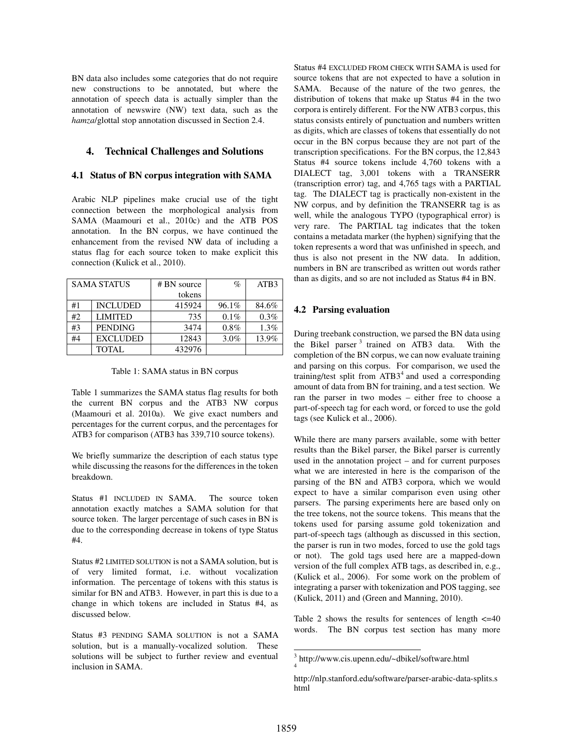BN data also includes some categories that do not require new constructions to be annotated, but where the annotation of speech data is actually simpler than the annotation of newswire (NW) text data, such as the *hamza*/glottal stop annotation discussed in Section 2.4.

### **4. Technical Challenges and Solutions**

#### **4.1 Status of BN corpus integration with SAMA**

Arabic NLP pipelines make crucial use of the tight connection between the morphological analysis from SAMA (Maamouri et al., 2010c) and the ATB POS annotation. In the BN corpus, we have continued the enhancement from the revised NW data of including a status flag for each source token to make explicit this connection (Kulick et al., 2010).

| <b>SAMA STATUS</b> |                 | # BN source | $\%$    | ATB <sub>3</sub> |
|--------------------|-----------------|-------------|---------|------------------|
|                    |                 | tokens      |         |                  |
| #1                 | <b>INCLUDED</b> | 415924      | 96.1%   | 84.6%            |
| #2                 | <b>LIMITED</b>  | 735         | $0.1\%$ | 0.3%             |
| #3                 | <b>PENDING</b>  | 3474        | $0.8\%$ | $1.3\%$          |
| #4                 | <b>EXCLUDED</b> | 12843       | $3.0\%$ | 13.9%            |
|                    | <b>TOTAL</b>    | 432976      |         |                  |

Table 1: SAMA status in BN corpus

Table 1 summarizes the SAMA status flag results for both the current BN corpus and the ATB3 NW corpus (Maamouri et al. 2010a). We give exact numbers and percentages for the current corpus, and the percentages for ATB3 for comparison (ATB3 has 339,710 source tokens).

We briefly summarize the description of each status type while discussing the reasons for the differences in the token breakdown.

Status #1 INCLUDED IN SAMA. The source token annotation exactly matches a SAMA solution for that source token. The larger percentage of such cases in BN is due to the corresponding decrease in tokens of type Status #4.

Status #2 LIMITED SOLUTION is not a SAMA solution, but is of very limited format, i.e. without vocalization information. The percentage of tokens with this status is similar for BN and ATB3. However, in part this is due to a change in which tokens are included in Status #4, as discussed below.

Status #3 PENDING SAMA SOLUTION is not a SAMA solution, but is a manually-vocalized solution. These solutions will be subject to further review and eventual inclusion in SAMA.

Status #4 EXCLUDED FROM CHECK WITH SAMA is used for source tokens that are not expected to have a solution in SAMA. Because of the nature of the two genres, the distribution of tokens that make up Status #4 in the two corpora is entirely different. For the NW ATB3 corpus, this status consists entirely of punctuation and numbers written as digits, which are classes of tokens that essentially do not occur in the BN corpus because they are not part of the transcription specifications. For the BN corpus, the 12,843 Status #4 source tokens include 4,760 tokens with a DIALECT tag, 3,001 tokens with a TRANSERR (transcription error) tag, and 4,765 tags with a PARTIAL tag. The DIALECT tag is practically non-existent in the NW corpus, and by definition the TRANSERR tag is as well, while the analogous TYPO (typographical error) is very rare. The PARTIAL tag indicates that the token contains a metadata marker (the hyphen) signifying that the token represents a word that was unfinished in speech, and thus is also not present in the NW data. In addition, numbers in BN are transcribed as written out words rather than as digits, and so are not included as Status #4 in BN.

#### **4.2 Parsing evaluation**

During treebank construction, we parsed the BN data using the Bikel parser<sup>3</sup> trained on ATB3 data. With the completion of the BN corpus, we can now evaluate training and parsing on this corpus. For comparison, we used the training/test split from  $ATB3<sup>4</sup>$  and used a corresponding amount of data from BN for training, and a test section. We ran the parser in two modes – either free to choose a part-of-speech tag for each word, or forced to use the gold tags (see Kulick et al., 2006).

While there are many parsers available, some with better results than the Bikel parser, the Bikel parser is currently used in the annotation project – and for current purposes what we are interested in here is the comparison of the parsing of the BN and ATB3 corpora, which we would expect to have a similar comparison even using other parsers. The parsing experiments here are based only on the tree tokens, not the source tokens. This means that the tokens used for parsing assume gold tokenization and part-of-speech tags (although as discussed in this section, the parser is run in two modes, forced to use the gold tags or not). The gold tags used here are a mapped-down version of the full complex ATB tags, as described in, e.g., (Kulick et al., 2006). For some work on the problem of integrating a parser with tokenization and POS tagging, see (Kulick, 2011) and (Green and Manning, 2010).

Table 2 shows the results for sentences of length  $\leq 40$ words. The BN corpus test section has many more

<sup>&</sup>lt;sup>3</sup> http://www.cis.upenn.edu/~dbikel/software.html

http://nlp.stanford.edu/software/parser-arabic-data-splits.s html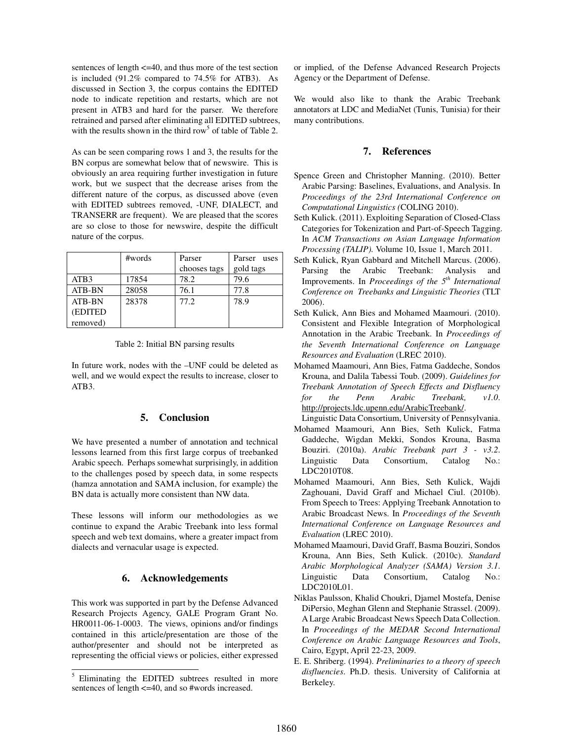sentences of length <=40, and thus more of the test section is included (91.2% compared to 74.5% for ATB3). As discussed in Section 3, the corpus contains the EDITED node to indicate repetition and restarts, which are not present in ATB3 and hard for the parser. We therefore retrained and parsed after eliminating all EDITED subtrees, with the results shown in the third row<sup>5</sup> of table of Table 2.

As can be seen comparing rows 1 and 3, the results for the BN corpus are somewhat below that of newswire. This is obviously an area requiring further investigation in future work, but we suspect that the decrease arises from the different nature of the corpus, as discussed above (even with EDITED subtrees removed, -UNF, DIALECT, and TRANSERR are frequent). We are pleased that the scores are so close to those for newswire, despite the difficult nature of the corpus.

|                  | #words | Parser       | Parser uses |
|------------------|--------|--------------|-------------|
|                  |        | chooses tags | gold tags   |
| ATB <sub>3</sub> | 17854  | 78.2         | 79.6        |
| <b>ATB-BN</b>    | 28058  | 76.1         | 77.8        |
| <b>ATB-BN</b>    | 28378  | 77.2         | 78.9        |
| (EDITED)         |        |              |             |
| removed)         |        |              |             |

Table 2: Initial BN parsing results

In future work, nodes with the –UNF could be deleted as well, and we would expect the results to increase, closer to ATB3.

## **5. Conclusion**

We have presented a number of annotation and technical lessons learned from this first large corpus of treebanked Arabic speech. Perhaps somewhat surprisingly, in addition to the challenges posed by speech data, in some respects (hamza annotation and SAMA inclusion, for example) the BN data is actually more consistent than NW data.

These lessons will inform our methodologies as we continue to expand the Arabic Treebank into less formal speech and web text domains, where a greater impact from dialects and vernacular usage is expected.

## **6. Acknowledgements**

This work was supported in part by the Defense Advanced Research Projects Agency, GALE Program Grant No. HR0011-06-1-0003. The views, opinions and/or findings contained in this article/presentation are those of the author/presenter and should not be interpreted as representing the official views or policies, either expressed or implied, of the Defense Advanced Research Projects Agency or the Department of Defense.

We would also like to thank the Arabic Treebank annotators at LDC and MediaNet (Tunis, Tunisia) for their many contributions.

## **7. References**

- Spence Green and Christopher Manning. (2010). Better Arabic Parsing: Baselines, Evaluations, and Analysis. In *Proceedings of the 23rd International Conference on Computational Linguistics (*COLING 2010).
- Seth Kulick. (2011). Exploiting Separation of Closed-Class Categories for Tokenization and Part-of-Speech Tagging. In *ACM Transactions on Asian Language Information Processing (TALIP).* Volume 10, Issue 1, March 2011.
- Seth Kulick, Ryan Gabbard and Mitchell Marcus. (2006). Parsing the Arabic Treebank: Analysis and Improvements. In *Proceedings of the 5th International Conference on Treebanks and Linguistic Theories* (TLT 2006).
- Seth Kulick, Ann Bies and Mohamed Maamouri. (2010). Consistent and Flexible Integration of Morphological Annotation in the Arabic Treebank. In *Proceedings of the Seventh International Conference on Language Resources and Evaluation* (LREC 2010).
- Mohamed Maamouri, Ann Bies, Fatma Gaddeche, Sondos Krouna, and Dalila Tabessi Toub. (2009). *Guidelines for Treebank Annotation of Speech Effects and Disfluency for the Penn Arabic Treebank, v1.0*. http://projects.ldc.upenn.edu/ArabicTreebank/.
- Linguistic Data Consortium, University of Pennsylvania.
- Mohamed Maamouri, Ann Bies, Seth Kulick, Fatma Gaddeche, Wigdan Mekki, Sondos Krouna, Basma Bouziri. (2010a). *Arabic Treebank part 3 - v3.2*. Linguistic Data Consortium, Catalog No.: LDC2010T08.
- Mohamed Maamouri, Ann Bies, Seth Kulick, Wajdi Zaghouani, David Graff and Michael Ciul. (2010b). From Speech to Trees: Applying Treebank Annotation to Arabic Broadcast News. In *Proceedings of the Seventh International Conference on Language Resources and Evaluation* (LREC 2010).
- Mohamed Maamouri, David Graff, Basma Bouziri, Sondos Krouna, Ann Bies, Seth Kulick. (2010c). *Standard Arabic Morphological Analyzer (SAMA) Version 3.1*. Linguistic Data Consortium, Catalog No.: LDC2010L01.
- Niklas Paulsson, Khalid Choukri, Djamel Mostefa, Denise DiPersio, Meghan Glenn and Stephanie Strassel. (2009). A Large Arabic Broadcast News Speech Data Collection. In *Proceedings of the MEDAR Second International Conference on Arabic Language Resources and Tools*, Cairo, Egypt, April 22-23, 2009.
- E. E. Shriberg. (1994). *Preliminaries to a theory of speech disfluencies*. Ph.D. thesis. University of California at Berkeley.

 $\overline{\phantom{a}}$ 5 Eliminating the EDITED subtrees resulted in more sentences of length <=40, and so #words increased.